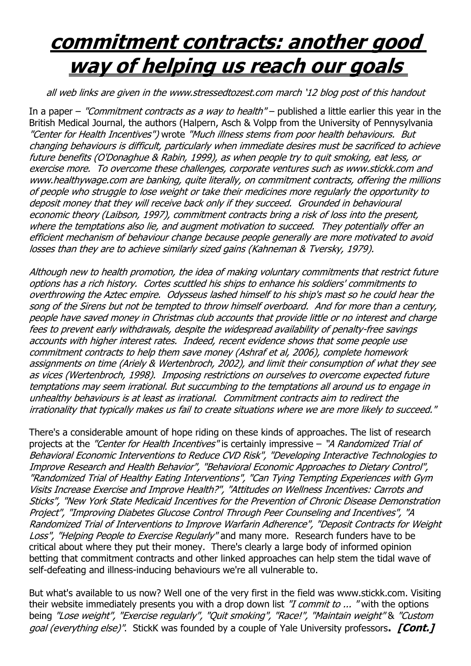## **commitment contracts: another good way of helping us reach our goals**

all web links are given in the www.stressedtozest.com march '12 blog post of this handout

In a paper – "Commitment contracts as a way to health" – published a little earlier this year in the British Medical Journal, the authors (Halpern, Asch & Volpp from the University of Pennysylvania "Center for Health Incentives") wrote "Much illness stems from poor health behaviours. But changing behaviours is difficult, particularly when immediate desires must be sacrificed to achieve future benefits (O'Donaghue & Rabin, 1999), as when people try to quit smoking, eat less, or exercise more. To overcome these challenges, corporate ventures such as www.stickk.com and www.healthywage.com are banking, quite literally, on commitment contracts, offering the millions of people who struggle to lose weight or take their medicines more regularly the opportunity to deposit money that they will receive back only if they succeed. Grounded in behavioural economic theory (Laibson, 1997), commitment contracts bring a risk of loss into the present, where the temptations also lie, and augment motivation to succeed. They potentially offer an efficient mechanism of behaviour change because people generally are more motivated to avoid losses than they are to achieve similarly sized gains (Kahneman & Tversky, 1979).

Although new to health promotion, the idea of making voluntary commitments that restrict future options has a rich history. Cortes scuttled his ships to enhance his soldiers' commitments to overthrowing the Aztec empire. Odysseus lashed himself to his ship's mast so he could hear the song of the Sirens but not be tempted to throw himself overboard. And for more than a century, people have saved money in Christmas club accounts that provide little or no interest and charge fees to prevent early withdrawals, despite the widespread availability of penalty-free savings accounts with higher interest rates. Indeed, recent evidence shows that some people use commitment contracts to help them save money (Ashraf et al, 2006), complete homework assignments on time (Ariely & Wertenbroch, 2002), and limit their consumption of what they see as vices (Wertenbroch, 1998). Imposing restrictions on ourselves to overcome expected future temptations may seem irrational. But succumbing to the temptations all around us to engage in unhealthy behaviours is at least as irrational. Commitment contracts aim to redirect the irrationality that typically makes us fail to create situations where we are more likely to succeed."

There's a considerable amount of hope riding on these kinds of approaches. The list of research projects at the "Center for Health Incentives" is certainly impressive - "A Randomized Trial of Behavioral Economic Interventions to Reduce CVD Risk", "Developing Interactive Technologies to Improve Research and Health Behavior", "Behavioral Economic Approaches to Dietary Control", "Randomized Trial of Healthy Eating Interventions", "Can Tying Tempting Experiences with Gym Visits Increase Exercise and Improve Health?", "Attitudes on Wellness Incentives: Carrots and Sticks", "New York State Medicaid Incentives for the Prevention of Chronic Disease Demonstration Project", "Improving Diabetes Glucose Control Through Peer Counseling and Incentives", "A Randomized Trial of Interventions to Improve Warfarin Adherence", "Deposit Contracts for Weight Loss", "Helping People to Exercise Regularly" and many more. Research funders have to be critical about where they put their money. There's clearly a large body of informed opinion betting that commitment contracts and other linked approaches can help stem the tidal wave of self-defeating and illness-inducing behaviours we're all vulnerable to.

But what's available to us now? Well one of the very first in the field was www.stickk.com. Visiting their website immediately presents you with a drop down list "*I commit to ...* "with the options being "Lose weight", "Exercise regularly", "Quit smoking", "Race!", "Maintain weight" & "Custom goal (everything else)". StickK was founded by a couple of Yale University professors**. [Cont.]**